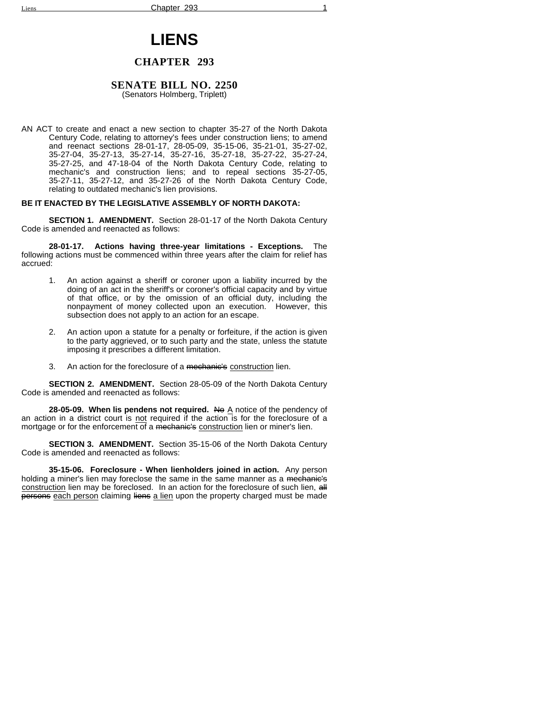# **LIENS**

# **CHAPTER 293**

## **SENATE BILL NO. 2250**

(Senators Holmberg, Triplett)

AN ACT to create and enact a new section to chapter 35-27 of the North Dakota Century Code, relating to attorney's fees under construction liens; to amend and reenact sections 28-01-17, 28-05-09, 35-15-06, 35-21-01, 35-27-02, 35-27-04, 35-27-13, 35-27-14, 35-27-16, 35-27-18, 35-27-22, 35-27-24, 35-27-25, and 47-18-04 of the North Dakota Century Code, relating to mechanic's and construction liens; and to repeal sections 35-27-05, 35-27-11, 35-27-12, and 35-27-26 of the North Dakota Century Code, relating to outdated mechanic's lien provisions.

## **BE IT ENACTED BY THE LEGISLATIVE ASSEMBLY OF NORTH DAKOTA:**

**SECTION 1. AMENDMENT.** Section 28-01-17 of the North Dakota Century Code is amended and reenacted as follows:

**28-01-17. Actions having three-year limitations - Exceptions.** The following actions must be commenced within three years after the claim for relief has accrued:

- 1. An action against a sheriff or coroner upon a liability incurred by the doing of an act in the sheriff's or coroner's official capacity and by virtue of that office, or by the omission of an official duty, including the nonpayment of money collected upon an execution. However, this subsection does not apply to an action for an escape.
- 2. An action upon a statute for a penalty or forfeiture, if the action is given to the party aggrieved, or to such party and the state, unless the statute imposing it prescribes a different limitation.
- 3. An action for the foreclosure of a mechanie's construction lien.

**SECTION 2. AMENDMENT.** Section 28-05-09 of the North Dakota Century Code is amended and reenacted as follows:

**28-05-09. When lis pendens not required.** No A notice of the pendency of an action in a district court is not required if the action is for the foreclosure of a mortgage or for the enforcement of a mechanic's construction lien or miner's lien.

**SECTION 3. AMENDMENT.** Section 35-15-06 of the North Dakota Century Code is amended and reenacted as follows:

**35-15-06. Foreclosure - When lienholders joined in action.** Any person holding a miner's lien may foreclose the same in the same manner as a mechanic's construction lien may be foreclosed. In an action for the foreclosure of such lien, all persons each person claiming liens a lien upon the property charged must be made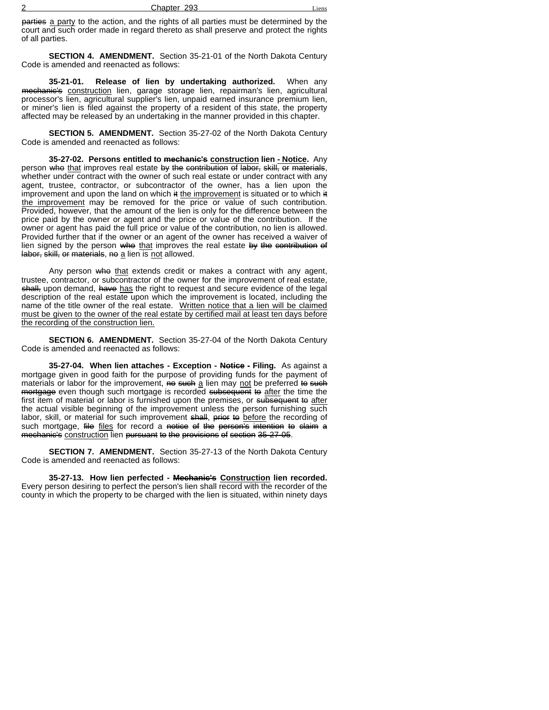| ⌒<br>. . | 293<br>Chapter | -1ens |
|----------|----------------|-------|
|          |                |       |

parties a party to the action, and the rights of all parties must be determined by the court and such order made in regard thereto as shall preserve and protect the rights of all parties.

**SECTION 4. AMENDMENT.** Section 35-21-01 of the North Dakota Century Code is amended and reenacted as follows:

**35-21-01. Release of lien by undertaking authorized.** When any mechanie's construction lien, garage storage lien, repairman's lien, agricultural processor's lien, agricultural supplier's lien, unpaid earned insurance premium lien, or miner's lien is filed against the property of a resident of this state, the property affected may be released by an undertaking in the manner provided in this chapter.

**SECTION 5. AMENDMENT.** Section 35-27-02 of the North Dakota Century Code is amended and reenacted as follows:

**35-27-02. Persons entitled to mechanic's construction lien - Notice.** Any person who that improves real estate by the contribution of labor, skill, or materials, whether under contract with the owner of such real estate or under contract with any agent, trustee, contractor, or subcontractor of the owner, has a lien upon the improvement and upon the land on which  $\ddot{\textbf{t}}$  the improvement is situated or to which  $\ddot{\textbf{t}}$ the improvement may be removed for the price or value of such contribution. Provided, however, that the amount of the lien is only for the difference between the price paid by the owner or agent and the price or value of the contribution. If the owner or agent has paid the full price or value of the contribution, no lien is allowed. Provided further that if the owner or an agent of the owner has received a waiver of lien signed by the person who that improves the real estate by the contribution of labor, skill, or materials, no a lien is not allowed.

Any person who that extends credit or makes a contract with any agent, trustee, contractor, or subcontractor of the owner for the improvement of real estate, shall, upon demand, have has the right to request and secure evidence of the legal description of the real estate upon which the improvement is located, including the name of the title owner of the real estate. Written notice that a lien will be claimed must be given to the owner of the real estate by certified mail at least ten days before the recording of the construction lien.

**SECTION 6. AMENDMENT.** Section 35-27-04 of the North Dakota Century Code is amended and reenacted as follows:

**35-27-04. When lien attaches - Exception - Notice - Filing.** As against a mortgage given in good faith for the purpose of providing funds for the payment of materials or labor for the improvement, no such a lien may not be preferred to such mortgage even though such mortgage is recorded subsequent to after the time the first item of material or labor is furnished upon the premises, or subsequent to after the actual visible beginning of the improvement unless the person furnishing such labor, skill, or material for such improvement shall, prior to before the recording of such mortgage, file files for record a notice of the person's intention to claim a mechanic's construction lien pursuant to the provisions of section 35-27-05.

**SECTION 7. AMENDMENT.** Section 35-27-13 of the North Dakota Century Code is amended and reenacted as follows:

**35-27-13. How lien perfected - Mechanic's Construction lien recorded.** Every person desiring to perfect the person's lien shall record with the recorder of the county in which the property to be charged with the lien is situated, within ninety days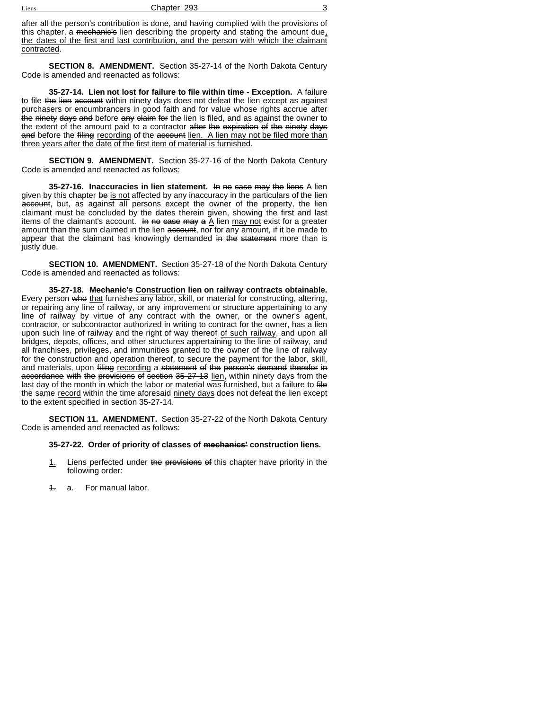| - -<br>Liens | 293<br>Chapter |  |
|--------------|----------------|--|
|              |                |  |

after all the person's contribution is done, and having complied with the provisions of this chapter, a mechanic's lien describing the property and stating the amount due, the dates of the first and last contribution, and the person with which the claimant contracted.

**SECTION 8. AMENDMENT.** Section 35-27-14 of the North Dakota Century Code is amended and reenacted as follows:

**35-27-14. Lien not lost for failure to file within time - Exception.** A failure to file the lien account within ninety days does not defeat the lien except as against purchasers or encumbrancers in good faith and for value whose rights accrue after the ninety days and before any claim for the lien is filed, and as against the owner to the extent of the amount paid to a contractor after the expiration of the ninety days and before the filing recording of the account lien. A lien may not be filed more than three years after the date of the first item of material is furnished.

**SECTION 9. AMENDMENT.** Section 35-27-16 of the North Dakota Century Code is amended and reenacted as follows:

**35-27-16. Inaccuracies in lien statement.** In no case may the liens A lien given by this chapter be is not affected by any inaccuracy in the particulars of the lien account, but, as against all persons except the owner of the property, the lien claimant must be concluded by the dates therein given, showing the first and last items of the claimant's account. In no case may a  $\underline{\tilde{A}}$  lien may not exist for a greater amount than the sum claimed in the lien account, nor for any amount, if it be made to appear that the claimant has knowingly demanded in the statement more than is justly due.

**SECTION 10. AMENDMENT.** Section 35-27-18 of the North Dakota Century Code is amended and reenacted as follows:

**35-27-18. Mechanic's Construction lien on railway contracts obtainable.** Every person who that furnishes any labor, skill, or material for constructing, altering, or repairing any line of railway, or any improvement or structure appertaining to any line of railway by virtue of any contract with the owner, or the owner's agent, contractor, or subcontractor authorized in writing to contract for the owner, has a lien upon such line of railway and the right of way thereof of such railway, and upon all bridges, depots, offices, and other structures appertaining to the line of railway, and all franchises, privileges, and immunities granted to the owner of the line of railway for the construction and operation thereof, to secure the payment for the labor, skill, and materials, upon filing recording a statement of the person's demand therefor in accordance with the provisions of section 35-27-13 lien, within ninety days from the last day of the month in which the labor or material was furnished, but a failure to file the same record within the time aforesaid ninety days does not defeat the lien except to the extent specified in section 35-27-14.

**SECTION 11. AMENDMENT.** Section 35-27-22 of the North Dakota Century Code is amended and reenacted as follows:

#### **35-27-22. Order of priority of classes of mechanics' construction liens.**

- 1. Liens perfected under the provisions of this chapter have priority in the following order:
- 4. a. For manual labor.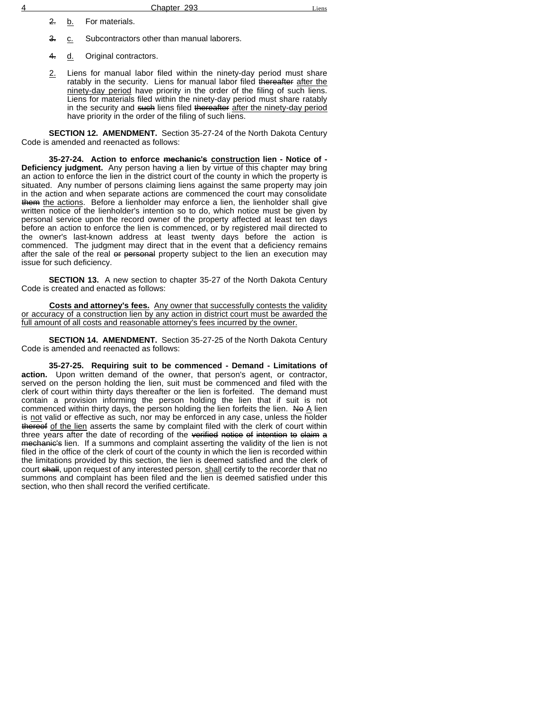2. b. For materials.

3. c. Subcontractors other than manual laborers.

4. d. Original contractors.

2. Liens for manual labor filed within the ninety-day period must share ratably in the security. Liens for manual labor filed thereafter after the ninety-day period have priority in the order of the filing of such liens. Liens for materials filed within the ninety-day period must share ratably in the security and such liens filed thereafter after the ninety-day period have priority in the order of the filing of such liens.

**SECTION 12. AMENDMENT.** Section 35-27-24 of the North Dakota Century Code is amended and reenacted as follows:

**35-27-24. Action to enforce mechanic's construction lien - Notice of - Deficiency judgment.** Any person having a lien by virtue of this chapter may bring an action to enforce the lien in the district court of the county in which the property is situated. Any number of persons claiming liens against the same property may join in the action and when separate actions are commenced the court may consolidate them the actions. Before a lienholder may enforce a lien, the lienholder shall give written notice of the lienholder's intention so to do, which notice must be given by personal service upon the record owner of the property affected at least ten days before an action to enforce the lien is commenced, or by registered mail directed to the owner's last-known address at least twenty days before the action is commenced. The judgment may direct that in the event that a deficiency remains after the sale of the real or personal property subject to the lien an execution may issue for such deficiency.

**SECTION 13.** A new section to chapter 35-27 of the North Dakota Century Code is created and enacted as follows:

Costs and attorney's fees. Any owner that successfully contests the validity or accuracy of a construction lien by any action in district court must be awarded the full amount of all costs and reasonable attorney's fees incurred by the owner.

**SECTION 14. AMENDMENT.** Section 35-27-25 of the North Dakota Century Code is amended and reenacted as follows:

**35-27-25. Requiring suit to be commenced - Demand - Limitations of action.** Upon written demand of the owner, that person's agent, or contractor, served on the person holding the lien, suit must be commenced and filed with the clerk of court within thirty days thereafter or the lien is forfeited. The demand must contain a provision informing the person holding the lien that if suit is not commenced within thirty days, the person holding the lien forfeits the lien. No A lien is not valid or effective as such, nor may be enforced in any case, unless the holder thereof of the lien asserts the same by complaint filed with the clerk of court within three years after the date of recording of the verified notice of intention to claim a mechanic's lien. If a summons and complaint asserting the validity of the lien is not filed in the office of the clerk of court of the county in which the lien is recorded within the limitations provided by this section, the lien is deemed satisfied and the clerk of court shall, upon request of any interested person, shall certify to the recorder that no summons and complaint has been filed and the lien is deemed satisfied under this section, who then shall record the verified certificate.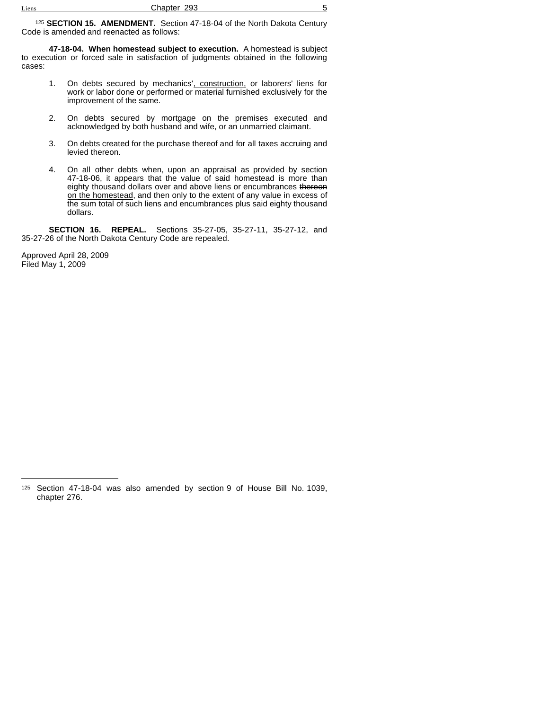<sup>125</sup> **SECTION 15. AMENDMENT.** Section 47-18-04 of the North Dakota Century Code is amended and reenacted as follows:

**47-18-04. When homestead subject to execution.** A homestead is subject to execution or forced sale in satisfaction of judgments obtained in the following cases:

- 1. On debts secured by mechanics', construction, or laborers' liens for work or labor done or performed or material furnished exclusively for the improvement of the same.
- 2. On debts secured by mortgage on the premises executed and acknowledged by both husband and wife, or an unmarried claimant.
- 3. On debts created for the purchase thereof and for all taxes accruing and levied thereon.
- 4. On all other debts when, upon an appraisal as provided by section 47-18-06, it appears that the value of said homestead is more than eighty thousand dollars over and above liens or encumbrances thereon on the homestead, and then only to the extent of any value in excess of the sum total of such liens and encumbrances plus said eighty thousand dollars.

**SECTION 16. REPEAL.** Sections 35-27-05, 35-27-11, 35-27-12, and 35-27-26 of the North Dakota Century Code are repealed.

Approved April 28, 2009 Filed May 1, 2009

<sup>125</sup> Section 47-18-04 was also amended by section 9 of House Bill No. 1039, chapter 276.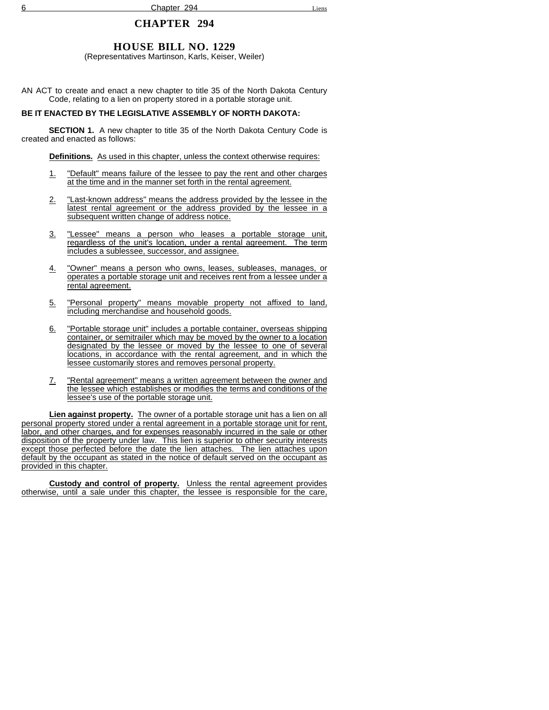# **CHAPTER 294**

# **HOUSE BILL NO. 1229**

(Representatives Martinson, Karls, Keiser, Weiler)

AN ACT to create and enact a new chapter to title 35 of the North Dakota Century Code, relating to a lien on property stored in a portable storage unit.

## **BE IT ENACTED BY THE LEGISLATIVE ASSEMBLY OF NORTH DAKOTA:**

**SECTION 1.** A new chapter to title 35 of the North Dakota Century Code is created and enacted as follows:

**Definitions.** As used in this chapter, unless the context otherwise requires:

- 1. "Default" means failure of the lessee to pay the rent and other charges at the time and in the manner set forth in the rental agreement.
- 2. "Last-known address" means the address provided by the lessee in the latest rental agreement or the address provided by the lessee in a subsequent written change of address notice.
- 3. "Lessee" means a person who leases a portable storage unit, regardless of the unit's location, under a rental agreement. The term includes a sublessee, successor, and assignee.
- 4. "Owner" means a person who owns, leases, subleases, manages, or operates a portable storage unit and receives rent from a lessee under a rental agreement.
- 5. "Personal property" means movable property not affixed to land, including merchandise and household goods.
- 6. "Portable storage unit" includes a portable container, overseas shipping container, or semitrailer which may be moved by the owner to a location designated by the lessee or moved by the lessee to one of several locations, in accordance with the rental agreement, and in which the lessee customarily stores and removes personal property.
- 7. "Rental agreement" means a written agreement between the owner and the lessee which establishes or modifies the terms and conditions of the lessee's use of the portable storage unit.

**Lien against property.** The owner of a portable storage unit has a lien on all personal property stored under a rental agreement in a portable storage unit for rent, labor, and other charges, and for expenses reasonably incurred in the sale or other disposition of the property under law. This lien is superior to other security interests except those perfected before the date the lien attaches. The lien attaches upon default by the occupant as stated in the notice of default served on the occupant as provided in this chapter.

**Custody and control of property.** Unless the rental agreement provides otherwise, until a sale under this chapter, the lessee is responsible for the care,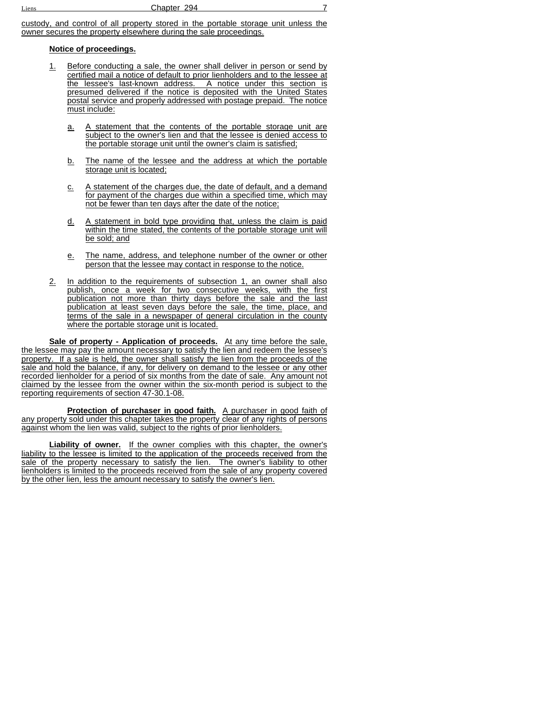custody, and control of all property stored in the portable storage unit unless the owner secures the property elsewhere during the sale proceedings.

## **Notice of proceedings.**

- 1. Before conducting a sale, the owner shall deliver in person or send by certified mail a notice of default to prior lienholders and to the lessee at the lessee's last-known address. A notice under this section is presumed delivered if the notice is deposited with the United States postal service and properly addressed with postage prepaid. The notice must include:
	- a. A statement that the contents of the portable storage unit are subject to the owner's lien and that the lessee is denied access to the portable storage unit until the owner's claim is satisfied;
	- b. The name of the lessee and the address at which the portable storage unit is located;
	- c. A statement of the charges due, the date of default, and a demand for payment of the charges due within a specified time, which may not be fewer than ten days after the date of the notice;
	- d. A statement in bold type providing that, unless the claim is paid within the time stated, the contents of the portable storage unit will be sold; and
	- e. The name, address, and telephone number of the owner or other person that the lessee may contact in response to the notice.
- 2. In addition to the requirements of subsection 1, an owner shall also publish, once a week for two consecutive weeks, with the first publication not more than thirty days before the sale and the last publication at least seven days before the sale, the time, place, and terms of the sale in a newspaper of general circulation in the county where the portable storage unit is located.

**Sale of property - Application of proceeds.** At any time before the sale, the lessee may pay the amount necessary to satisfy the lien and redeem the lessee's property. If a sale is held, the owner shall satisfy the lien from the proceeds of the sale and hold the balance, if any, for delivery on demand to the lessee or any other recorded lienholder for a period of six months from the date of sale. Any amount not claimed by the lessee from the owner within the six-month period is subject to the reporting requirements of section 47-30.1-08.

**Protection of purchaser in good faith.** A purchaser in good faith of any property sold under this chapter takes the property clear of any rights of persons against whom the lien was valid, subject to the rights of prior lienholders.

**Liability of owner.** If the owner complies with this chapter, the owner's liability to the lessee is limited to the application of the proceeds received from the sale of the property necessary to satisfy the lien. The owner's liability to other lienholders is limited to the proceeds received from the sale of any property covered by the other lien, less the amount necessary to satisfy the owner's lien.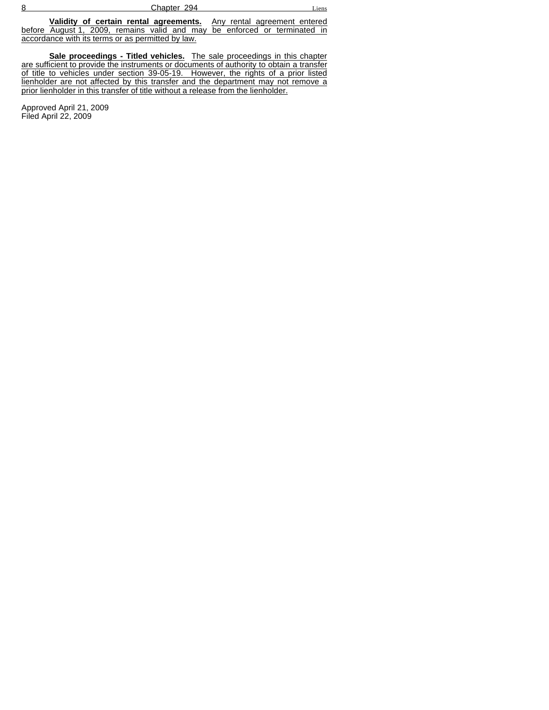| 8 | 294<br>-----<br>$\mathbf{v}$ | hens |
|---|------------------------------|------|
|   |                              |      |

**Validity of certain rental agreements.** Any rental agreement entered before August 1, 2009, remains valid and may be enforced or terminated in accordance with its terms or as permitted by law.

**Sale proceedings - Titled vehicles.** The sale proceedings in this chapter are sufficient to provide the instruments or documents of authority to obtain a transfer of title to vehicles under section 39-05-19. However, the rights of a prior listed lienholder are not affected by this transfer and the department may not remove a prior lienholder in this transfer of title without a release from the lienholder.

Approved April 21, 2009 Filed April 22, 2009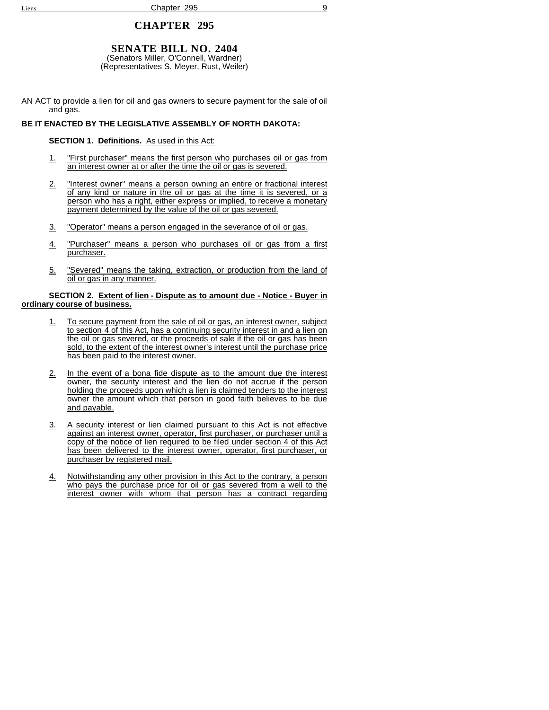## **CHAPTER 295**

# **SENATE BILL NO. 2404**

(Senators Miller, O'Connell, Wardner) (Representatives S. Meyer, Rust, Weiler)

AN ACT to provide a lien for oil and gas owners to secure payment for the sale of oil and gas.

## **BE IT ENACTED BY THE LEGISLATIVE ASSEMBLY OF NORTH DAKOTA:**

#### **SECTION 1. Definitions.** As used in this Act:

- 1. "First purchaser" means the first person who purchases oil or gas from an interest owner at or after the time the oil or gas is severed.
- 2. "Interest owner" means a person owning an entire or fractional interest of any kind or nature in the oil or gas at the time it is severed, or a person who has a right, either express or implied, to receive a monetary payment determined by the value of the oil or gas severed.
- 3. "Operator" means a person engaged in the severance of oil or gas.
- 4. "Purchaser" means a person who purchases oil or gas from a first purchaser.
- 5. "Severed" means the taking, extraction, or production from the land of oil or gas in any manner.

#### **SECTION 2. Extent of lien - Dispute as to amount due - Notice - Buyer in ordinary course of business.**

- 1. To secure payment from the sale of oil or gas, an interest owner, subject to section 4 of this Act, has a continuing security interest in and a lien on the oil or gas severed, or the proceeds of sale if the oil or gas has been sold, to the extent of the interest owner's interest until the purchase price has been paid to the interest owner.
- 2. In the event of a bona fide dispute as to the amount due the interest owner, the security interest and the lien do not accrue if the person holding the proceeds upon which a lien is claimed tenders to the interest owner the amount which that person in good faith believes to be due and payable.
- 3. A security interest or lien claimed pursuant to this Act is not effective against an interest owner, operator, first purchaser, or purchaser until a copy of the notice of lien required to be filed under section 4 of this Act has been delivered to the interest owner, operator, first purchaser, or purchaser by registered mail.
- 4. Notwithstanding any other provision in this Act to the contrary, a person who pays the purchase price for oil or gas severed from a well to the interest owner with whom that person has a contract regarding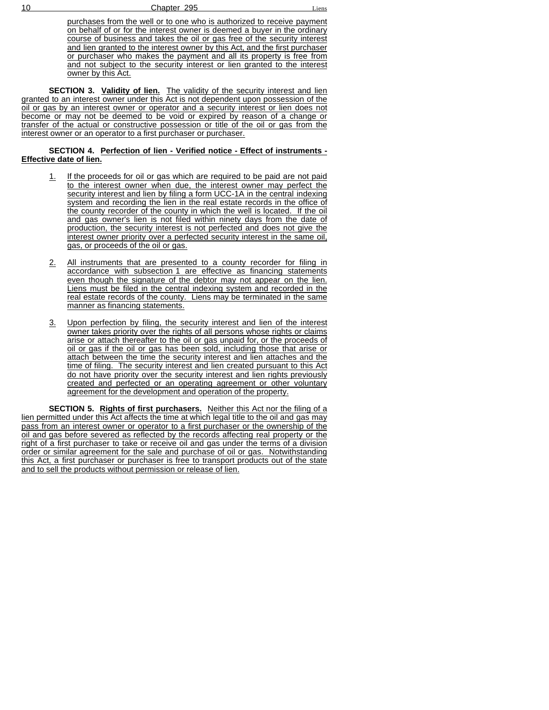10 Chapter 295 Liens

purchases from the well or to one who is authorized to receive payment on behalf of or for the interest owner is deemed a buyer in the ordinary course of business and takes the oil or gas free of the security interest and lien granted to the interest owner by this Act, and the first purchaser or purchaser who makes the payment and all its property is free from and not subject to the security interest or lien granted to the interest owner by this Act.

**SECTION 3. Validity of lien.** The validity of the security interest and lien granted to an interest owner under this Act is not dependent upon possession of the oil or gas by an interest owner or operator and a security interest or lien does not become or may not be deemed to be void or expired by reason of a change or transfer of the actual or constructive possession or title of the oil or gas from the interest owner or an operator to a first purchaser or purchaser.

#### **SECTION 4. Perfection of lien - Verified notice - Effect of instruments - Effective date of lien.**

- If the proceeds for oil or gas which are required to be paid are not paid to the interest owner when due, the interest owner may perfect the security interest and lien by filing a form UCC-1A in the central indexing system and recording the lien in the real estate records in the office of the county recorder of the county in which the well is located. If the oil and gas owner's lien is not filed within ninety days from the date of production, the security interest is not perfected and does not give the interest owner priority over a perfected security interest in the same oil, gas, or proceeds of the oil or gas.
- 2. All instruments that are presented to a county recorder for filing in accordance with subsection 1 are effective as financing statements even though the signature of the debtor may not appear on the lien. Liens must be filed in the central indexing system and recorded in the real estate records of the county. Liens may be terminated in the same manner as financing statements.
- 3. Upon perfection by filing, the security interest and lien of the interest owner takes priority over the rights of all persons whose rights or claims arise or attach thereafter to the oil or gas unpaid for, or the proceeds of oil or gas if the oil or gas has been sold, including those that arise or attach between the time the security interest and lien attaches and the time of filing. The security interest and lien created pursuant to this Act do not have priority over the security interest and lien rights previously created and perfected or an operating agreement or other voluntary agreement for the development and operation of the property.

**SECTION 5. Rights of first purchasers.** Neither this Act nor the filing of a lien permitted under this Act affects the time at which legal title to the oil and gas may pass from an interest owner or operator to a first purchaser or the ownership of the oil and gas before severed as reflected by the records affecting real property or the right of a first purchaser to take or receive oil and gas under the terms of a division order or similar agreement for the sale and purchase of oil or gas. Notwithstanding this Act, a first purchaser or purchaser is free to transport products out of the state and to sell the products without permission or release of lien.